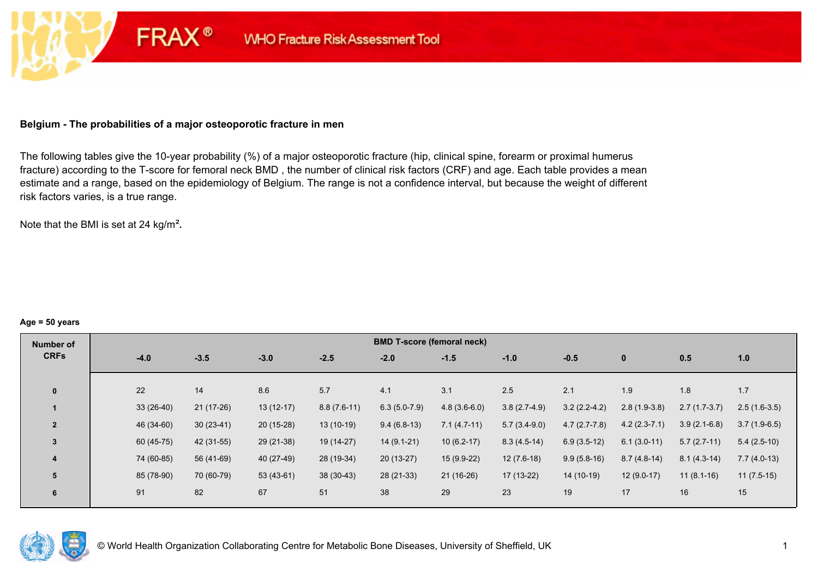### **Belgium - The probabilities of a major osteoporotic fracture in men**

**FRAX®** 

The following tables give the 10-year probability (%) of a major osteoporotic fracture (hip, clinical spine, forearm or proximal humerus fracture) according to the T-score for femoral neck BMD , the number of clinical risk factors (CRF) and age. Each table provides a mean estimate and a range, based on the epidemiology of Belgium. The range is not a confidence interval, but because the weight of different risk factors varies, is a true range.

Note that the BMI is set at 24 kg/m²**.** 

#### **Age = 50 years**

| Number of      |             |             |             |               | <b>BMD T-score (femoral neck)</b> |                |                |                |                |                |                |
|----------------|-------------|-------------|-------------|---------------|-----------------------------------|----------------|----------------|----------------|----------------|----------------|----------------|
| <b>CRFs</b>    | $-4.0$      | $-3.5$      | $-3.0$      | $-2.5$        | $-2.0$                            | $-1.5$         | $-1.0$         | $-0.5$         | $\mathbf{0}$   | 0.5            | 1.0            |
|                |             |             |             |               |                                   |                |                |                |                |                |                |
| $\mathbf{0}$   | 22          | 14          | 8.6         | 5.7           | 4.1                               | 3.1            | 2.5            | 2.1            | 1.9            | 1.8            | 1.7            |
|                | $33(26-40)$ | 21 (17-26)  | $13(12-17)$ | $8.8(7.6-11)$ | $6.3(5.0-7.9)$                    | $4.8(3.6-6.0)$ | $3.8(2.7-4.9)$ | $3.2(2.2-4.2)$ | $2.8(1.9-3.8)$ | $2.7(1.7-3.7)$ | $2.5(1.6-3.5)$ |
| $\overline{2}$ | 46 (34-60)  | $30(23-41)$ | $20(15-28)$ | $13(10-19)$   | $9.4(6.8-13)$                     | $7.1(4.7-11)$  | $5.7(3.4-9.0)$ | $4.7(2.7-7.8)$ | $4.2(2.3-7.1)$ | $3.9(2.1-6.8)$ | $3.7(1.9-6.5)$ |
| 3              | 60 (45-75)  | 42 (31-55)  | 29 (21-38)  | 19 (14-27)    | $14(9.1-21)$                      | $10(6.2-17)$   | $8.3(4.5-14)$  | $6.9(3.5-12)$  | $6.1(3.0-11)$  | $5.7(2.7-11)$  | $5.4(2.5-10)$  |
| $\overline{4}$ | 74 (60-85)  | 56 (41-69)  | 40 (27-49)  | 28 (19-34)    | $20(13-27)$                       | $15(9.9-22)$   | $12(7.6-18)$   | $9.9(5.8-16)$  | $8.7(4.8-14)$  | $8.1(4.3-14)$  | $7.7(4.0-13)$  |
| 5              | 85 (78-90)  | 70 (60-79)  | $53(43-61)$ | $38(30-43)$   | 28 (21-33)                        | 21 (16-26)     | 17 (13-22)     | 14 (10-19)     | $12(9.0-17)$   | $11(8.1-16)$   | $11(7.5-15)$   |
| 6              | 91          | 82          | 67          | 51            | 38                                | 29             | 23             | 19             | 17             | 16             | 15             |

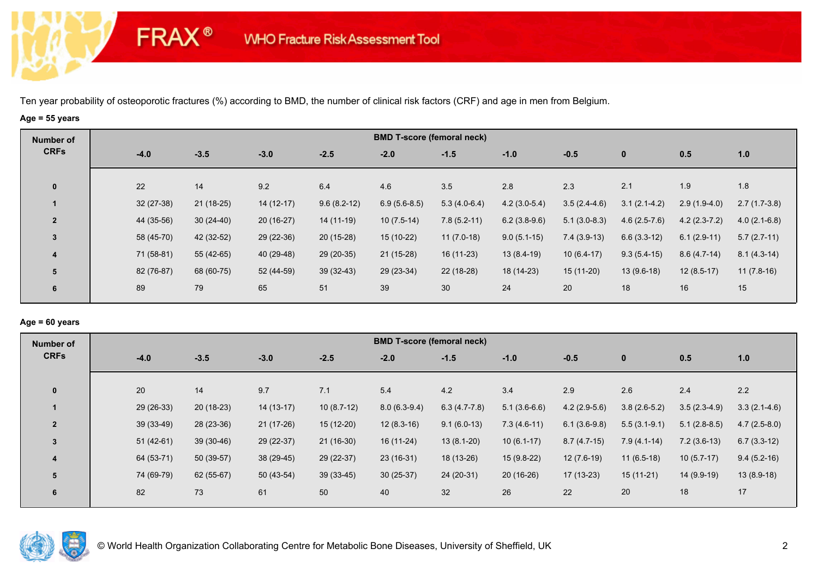# **Age = 55 years**

**FRAX®** 

| Number of               |             |             |             |               |                | <b>BMD T-score (femoral neck)</b> |                |                |                |                |                |
|-------------------------|-------------|-------------|-------------|---------------|----------------|-----------------------------------|----------------|----------------|----------------|----------------|----------------|
| <b>CRFs</b>             | $-4.0$      | $-3.5$      | $-3.0$      | $-2.5$        | $-2.0$         | $-1.5$                            | $-1.0$         | $-0.5$         | $\mathbf{0}$   | 0.5            | 1.0            |
| $\mathbf 0$             | 22          | 14          | 9.2         | 6.4           | 4.6            | 3.5                               | 2.8            | 2.3            | 2.1            | 1.9            | 1.8            |
|                         | $32(27-38)$ | $21(18-25)$ | $14(12-17)$ | $9.6(8.2-12)$ | $6.9(5.6-8.5)$ | $5.3(4.0-6.4)$                    | $4.2(3.0-5.4)$ | $3.5(2.4-4.6)$ | $3.1(2.1-4.2)$ | $2.9(1.9-4.0)$ | $2.7(1.7-3.8)$ |
| $\overline{2}$          | 44 (35-56)  | $30(24-40)$ | $20(16-27)$ | 14 (11-19)    | $10(7.5-14)$   | $7.8(5.2-11)$                     | $6.2(3.8-9.6)$ | $5.1(3.0-8.3)$ | $4.6(2.5-7.6)$ | $4.2(2.3-7.2)$ | $4.0(2.1-6.8)$ |
| $\mathbf{3}$            | 58 (45-70)  | 42 (32-52)  | $29(22-36)$ | 20 (15-28)    | 15 (10-22)     | $11(7.0-18)$                      | $9.0(5.1-15)$  | $7.4(3.9-13)$  | $6.6(3.3-12)$  | $6.1(2.9-11)$  | $5.7(2.7-11)$  |
| $\overline{\mathbf{4}}$ | 71 (58-81)  | 55 (42-65)  | 40 (29-48)  | $29(20-35)$   | $21(15-28)$    | $16(11-23)$                       | $13(8.4-19)$   | $10(6.4-17)$   | $9.3(5.4-15)$  | $8.6(4.7-14)$  | $8.1(4.3-14)$  |
| 5                       | 82 (76-87)  | 68 (60-75)  | 52 (44-59)  | $39(32-43)$   | 29 (23-34)     | $22(18-28)$                       | 18 (14-23)     | $15(11-20)$    | $13(9.6-18)$   | $12(8.5-17)$   | $11(7.8-16)$   |
| 6                       | 89          | 79          | 65          | 51            | 39             | 30                                | 24             | 20             | 18             | 16             | 15             |

### **Age = 60 years**

| Number of               |             |             |             |              | <b>BMD T-score (femoral neck)</b> |                |                |                |                |                |                |
|-------------------------|-------------|-------------|-------------|--------------|-----------------------------------|----------------|----------------|----------------|----------------|----------------|----------------|
| <b>CRFs</b>             | $-4.0$      | $-3.5$      | $-3.0$      | $-2.5$       | $-2.0$                            | $-1.5$         | $-1.0$         | $-0.5$         | $\mathbf{0}$   | 0.5            | 1.0            |
| $\mathbf{0}$            | 20          | 14          | 9.7         | 7.1          | 5.4                               | 4.2            | 3.4            | 2.9            | 2.6            | 2.4            | 2.2            |
|                         | 29 (26-33)  | $20(18-23)$ | 14 (13-17)  | $10(8.7-12)$ | $8.0(6.3-9.4)$                    | $6.3(4.7-7.8)$ | $5.1(3.6-6.6)$ | $4.2(2.9-5.6)$ | $3.8(2.6-5.2)$ | $3.5(2.3-4.9)$ | $3.3(2.1-4.6)$ |
| $\overline{2}$          | $39(33-49)$ | 28 (23-36)  | $21(17-26)$ | $15(12-20)$  | $12(8.3-16)$                      | $9.1(6.0-13)$  | $7.3(4.6-11)$  | $6.1(3.6-9.8)$ | $5.5(3.1-9.1)$ | $5.1(2.8-8.5)$ | $4.7(2.5-8.0)$ |
| 3                       | $51(42-61)$ | $39(30-46)$ | 29 (22-37)  | $21(16-30)$  | 16 (11-24)                        | $13(8.1-20)$   | $10(6.1-17)$   | $8.7(4.7-15)$  | $7.9(4.1-14)$  | $7.2(3.6-13)$  | $6.7(3.3-12)$  |
| $\overline{\mathbf{4}}$ | 64 (53-71)  | $50(39-57)$ | 38 (29-45)  | $29(22-37)$  | $23(16-31)$                       | 18 (13-26)     | $15(9.8-22)$   | $12(7.6-19)$   | $11(6.5-18)$   | $10(5.7-17)$   | $9.4(5.2-16)$  |
| 5                       | 74 (69-79)  | $62(55-67)$ | $50(43-54)$ | $39(33-45)$  | $30(25-37)$                       | 24 (20-31)     | $20(16-26)$    | $17(13-23)$    | $15(11-21)$    | 14 (9.9-19)    | $13(8.9-18)$   |
| 6                       | 82          | 73          | 61          | 50           | 40                                | 32             | 26             | 22             | 20             | 18             | 17             |

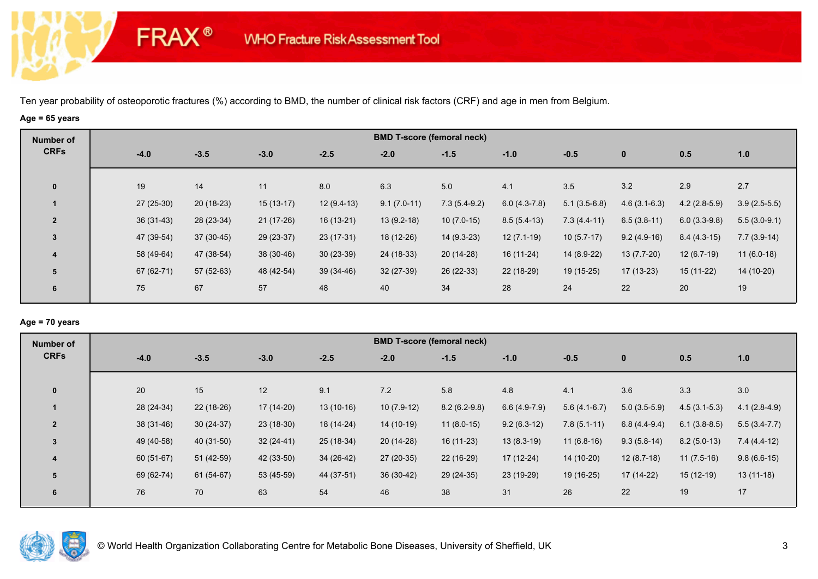# **Age = 65 years**

**FRAX®** 

| Number of               |             |             |             |              |               | <b>BMD T-score (femoral neck)</b> |                |                |                |                |                |
|-------------------------|-------------|-------------|-------------|--------------|---------------|-----------------------------------|----------------|----------------|----------------|----------------|----------------|
| <b>CRFs</b>             | $-4.0$      | $-3.5$      | $-3.0$      | $-2.5$       | $-2.0$        | $-1.5$                            | $-1.0$         | $-0.5$         | $\mathbf{0}$   | 0.5            | 1.0            |
| $\mathbf 0$             | 19          | 14          | 11          | 8.0          | 6.3           | 5.0                               | 4.1            | 3.5            | 3.2            | 2.9            | 2.7            |
|                         | $27(25-30)$ | $20(18-23)$ | $15(13-17)$ | $12(9.4-13)$ | $9.1(7.0-11)$ | $7.3(5.4-9.2)$                    | $6.0(4.3-7.8)$ | $5.1(3.5-6.8)$ | $4.6(3.1-6.3)$ | $4.2(2.8-5.9)$ | $3.9(2.5-5.5)$ |
| $\overline{2}$          | $36(31-43)$ | 28 (23-34)  | $21(17-26)$ | $16(13-21)$  | $13(9.2-18)$  | $10(7.0-15)$                      | $8.5(5.4-13)$  | $7.3(4.4-11)$  | $6.5(3.8-11)$  | $6.0(3.3-9.8)$ | $5.5(3.0-9.1)$ |
| $\mathbf{3}$            | 47 (39-54)  | $37(30-45)$ | $29(23-37)$ | 23 (17-31)   | 18 (12-26)    | $14(9.3-23)$                      | $12(7.1-19)$   | $10(5.7-17)$   | $9.2(4.9-16)$  | $8.4(4.3-15)$  | $7.7(3.9-14)$  |
| $\overline{\mathbf{4}}$ | 58 (49-64)  | 47 (38-54)  | 38 (30-46)  | $30(23-39)$  | 24 (18-33)    | $20(14-28)$                       | 16 (11-24)     | 14 (8.9-22)    | $13(7.7-20)$   | $12(6.7-19)$   | $11(6.0-18)$   |
| 5                       | 67 (62-71)  | 57 (52-63)  | 48 (42-54)  | $39(34-46)$  | $32(27-39)$   | 26 (22-33)                        | 22 (18-29)     | $19(15-25)$    | $17(13-23)$    | $15(11-22)$    | 14 (10-20)     |
| 6                       | 75          | 67          | 57          | 48           | 40            | 34                                | 28             | 24             | 22             | 20             | 19             |

### **Age = 70 years**

| Number of      |             |             |             |             |              | <b>BMD T-score (femoral neck)</b> |                |                |                |                |                |
|----------------|-------------|-------------|-------------|-------------|--------------|-----------------------------------|----------------|----------------|----------------|----------------|----------------|
| <b>CRFs</b>    | $-4.0$      | $-3.5$      | $-3.0$      | $-2.5$      | $-2.0$       | $-1.5$                            | $-1.0$         | $-0.5$         | $\mathbf{0}$   | 0.5            | 1.0            |
|                |             |             |             |             |              |                                   |                |                |                |                |                |
| $\mathbf{0}$   | 20          | 15          | 12          | 9.1         | 7.2          | 5.8                               | 4.8            | 4.1            | 3.6            | 3.3            | 3.0            |
|                | 28 (24-34)  | $22(18-26)$ | 17 (14-20)  | $13(10-16)$ | $10(7.9-12)$ | $8.2(6.2-9.8)$                    | $6.6(4.9-7.9)$ | $5.6(4.1-6.7)$ | $5.0(3.5-5.9)$ | $4.5(3.1-5.3)$ | $4.1(2.8-4.9)$ |
| $\overline{2}$ | $38(31-46)$ | $30(24-37)$ | $23(18-30)$ | 18 (14-24)  | $14(10-19)$  | $11(8.0-15)$                      | $9.2(6.3-12)$  | $7.8(5.1-11)$  | $6.8(4.4-9.4)$ | $6.1(3.8-8.5)$ | $5.5(3.4-7.7)$ |
| $\overline{3}$ | 49 (40-58)  | 40 (31-50)  | $32(24-41)$ | $25(18-34)$ | $20(14-28)$  | $16(11-23)$                       | $13(8.3-19)$   | $11(6.8-16)$   | $9.3(5.8-14)$  | $8.2(5.0-13)$  | $7.4(4.4-12)$  |
| 4              | 60 (51-67)  | $51(42-59)$ | 42 (33-50)  | 34 (26-42)  | $27(20-35)$  | 22 (16-29)                        | 17 (12-24)     | 14 (10-20)     | $12(8.7-18)$   | $11(7.5-16)$   | $9.8(6.6-15)$  |
| 5              | 69 (62-74)  | $61(54-67)$ | 53 (45-59)  | 44 (37-51)  | $36(30-42)$  | 29 (24-35)                        | 23 (19-29)     | 19 (16-25)     | 17 (14-22)     | $15(12-19)$    | $13(11-18)$    |
| 6              | 76          | 70          | 63          | 54          | 46           | 38                                | 31             | 26             | 22             | 19             | 17             |
|                |             |             |             |             |              |                                   |                |                |                |                |                |

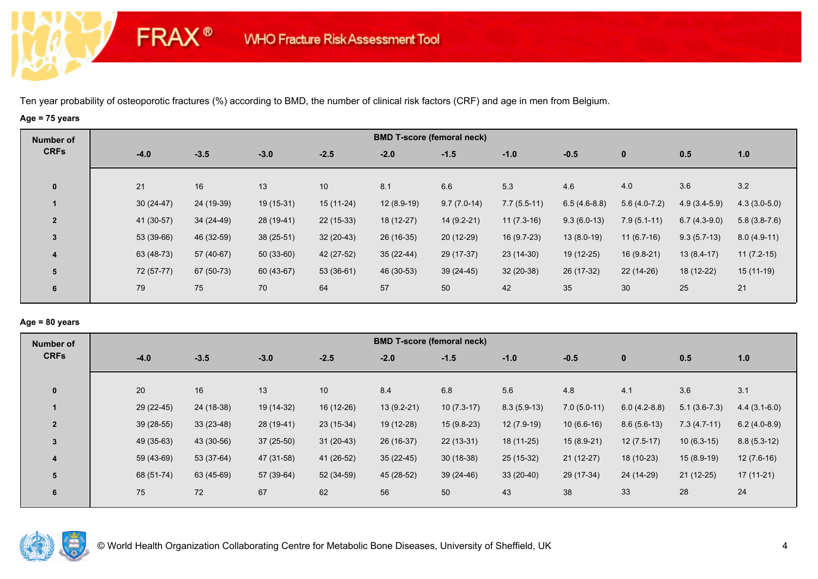# **Age = 75 years**

**FRAX®** 

| Number of      |        |             |            |             |             | <b>BMD T-score (femoral neck)</b> |               |               |                |                |                |                |
|----------------|--------|-------------|------------|-------------|-------------|-----------------------------------|---------------|---------------|----------------|----------------|----------------|----------------|
| <b>CRFs</b>    | $-4.0$ |             | $-3.5$     | $-3.0$      | $-2.5$      | $-2.0$                            | $-1.5$        | $-1.0$        | $-0.5$         | $\mathbf 0$    | 0.5            | 1.0            |
| $\mathbf 0$    | 21     |             | 16         | 13          | 10          | 8.1                               | 6.6           | 5.3           | 4.6            | 4.0            | 3.6            | 3.2            |
|                |        | $30(24-47)$ | 24 (19-39) | 19 (15-31)  | $15(11-24)$ | $12(8.9-19)$                      | $9.7(7.0-14)$ | $7.7(5.5-11)$ | $6.5(4.6-8.8)$ | $5.6(4.0-7.2)$ | $4.9(3.4-5.9)$ | $4.3(3.0-5.0)$ |
| $\overline{2}$ |        | 41 (30-57)  | 34 (24-49) | 28 (19-41)  | $22(15-33)$ | $18(12-27)$                       | $14(9.2-21)$  | $11(7.3-16)$  | $9.3(6.0-13)$  | $7.9(5.1-11)$  | $6.7(4.3-9.0)$ | $5.8(3.8-7.6)$ |
| $\overline{3}$ |        | 53 (39-66)  | 46 (32-59) | $38(25-51)$ | $32(20-43)$ | 26 (16-35)                        | $20(12-29)$   | 16 (9.7-23)   | $13(8.0-19)$   | $11(6.7-16)$   | $9.3(5.7-13)$  | $8.0(4.9-11)$  |
| 4              |        | 63 (48-73)  | 57 (40-67) | $50(33-60)$ | 42 (27-52)  | $35(22-44)$                       | 29 (17-37)    | $23(14-30)$   | 19 (12-25)     | 16 (9.8-21)    | $13(8.4-17)$   | $11(7.2-15)$   |
| 5              |        | 72 (57-77)  | 67 (50-73) | 60 (43-67)  | $53(36-61)$ | 46 (30-53)                        | $39(24-45)$   | $32(20-38)$   | 26 (17-32)     | $22(14-26)$    | 18 (12-22)     | $15(11-19)$    |
| 6              | 79     |             | 75         | 70          | 64          | 57                                | 50            | 42            | 35             | 30             | 25             | 21             |

## **Age = 80 years**

| Number of      |             |             |            |                 |              | <b>BMD T-score (femoral neck)</b> |               |               |                |                |                |
|----------------|-------------|-------------|------------|-----------------|--------------|-----------------------------------|---------------|---------------|----------------|----------------|----------------|
| <b>CRFs</b>    | $-4.0$      | $-3.5$      | $-3.0$     | $-2.5$          | $-2.0$       | $-1.5$                            | $-1.0$        | $-0.5$        | $\mathbf{0}$   | 0.5            | 1.0            |
|                |             |             |            |                 |              |                                   |               |               |                |                |                |
| $\mathbf{0}$   | 20          | 16          | 13         | 10 <sup>1</sup> | 8.4          | 6.8                               | 5.6           | 4.8           | 4.1            | 3.6            | 3.1            |
|                | 29 (22-45)  | 24 (18-38)  | 19 (14-32) | 16 (12-26)      | $13(9.2-21)$ | $10(7.3-17)$                      | $8.3(5.9-13)$ | $7.0(5.0-11)$ | $6.0(4.2-8.8)$ | $5.1(3.6-7.3)$ | $4.4(3.1-6.0)$ |
| $\overline{2}$ | $39(28-55)$ | $33(23-48)$ | 28 (19-41) | $23(15-34)$     | 19 (12-28)   | $15(9.8-23)$                      | $12(7.9-19)$  | $10(6.6-16)$  | $8.6(5.6-13)$  | $7.3(4.7-11)$  | $6.2(4.0-8.9)$ |
| $\overline{3}$ | 49 (35-63)  | 43 (30-56)  | 37 (25-50) | $31(20-43)$     | 26 (16-37)   | $22(13-31)$                       | 18 (11-25)    | $15(8.9-21)$  | $12(7.5-17)$   | $10(6.3-15)$   | $8.8(5.3-12)$  |
| 4              | 59 (43-69)  | 53 (37-64)  | 47 (31-58) | 41 (26-52)      | $35(22-45)$  | $30(18-38)$                       | 25 (15-32)    | $21(12-27)$   | 18 (10-23)     | $15(8.9-19)$   | $12(7.6-16)$   |
| 5              | 68 (51-74)  | 63 (45-69)  | 57 (39-64) | 52 (34-59)      | 45 (28-52)   | $39(24-46)$                       | $33(20-40)$   | 29 (17-34)    | 24 (14-29)     | $21(12-25)$    | $17(11-21)$    |
| 6              | 75          | 72          | 67         | 62              | 56           | 50                                | 43            | 38            | 33             | 28             | 24             |
|                |             |             |            |                 |              |                                   |               |               |                |                |                |